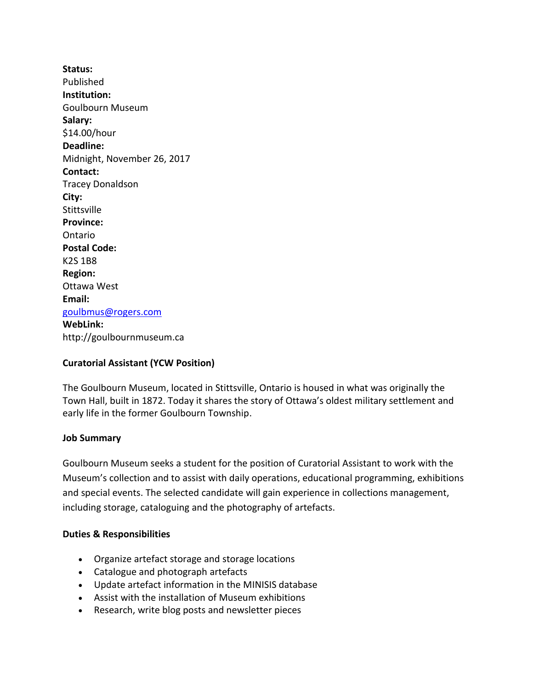**Status:** Published **Institution:** Goulbourn Museum **Salary:** \$14.00/hour **Deadline:** Midnight, November 26, 2017 **Contact:** Tracey Donaldson **City: Stittsville Province:** Ontario **Postal Code:** K2S 1B8 **Region:** Ottawa West **Email:** [goulbmus@rogers.com](mailto:goulbmus@rogers.com) **WebLink:** http://goulbournmuseum.ca

# **Curatorial Assistant (YCW Position)**

The Goulbourn Museum, located in Stittsville, Ontario is housed in what was originally the Town Hall, built in 1872. Today it shares the story of Ottawa's oldest military settlement and early life in the former Goulbourn Township.

# **Job Summary**

Goulbourn Museum seeks a student for the position of Curatorial Assistant to work with the Museum's collection and to assist with daily operations, educational programming, exhibitions and special events. The selected candidate will gain experience in collections management, including storage, cataloguing and the photography of artefacts.

### **Duties & Responsibilities**

- Organize artefact storage and storage locations
- Catalogue and photograph artefacts
- Update artefact information in the MINISIS database
- Assist with the installation of Museum exhibitions
- Research, write blog posts and newsletter pieces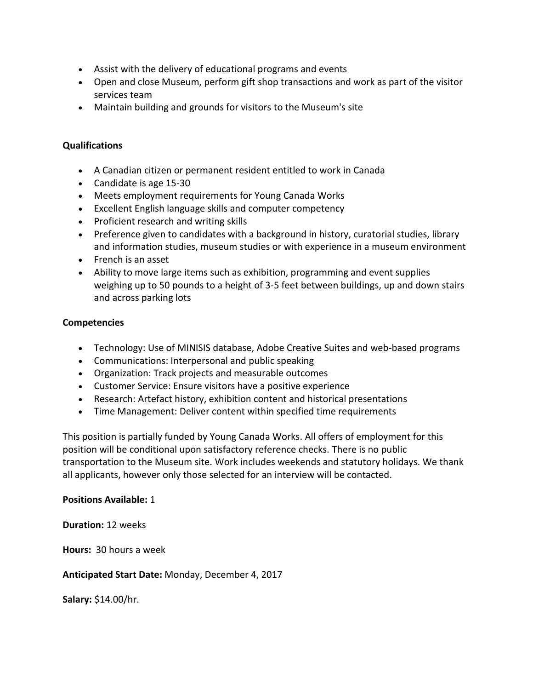- Assist with the delivery of educational programs and events
- Open and close Museum, perform gift shop transactions and work as part of the visitor services team
- Maintain building and grounds for visitors to the Museum's site

# **Qualifications**

- A Canadian citizen or permanent resident entitled to work in Canada
- Candidate is age 15-30
- Meets employment requirements for Young Canada Works
- Excellent English language skills and computer competency
- Proficient research and writing skills
- Preference given to candidates with a background in history, curatorial studies, library and information studies, museum studies or with experience in a museum environment
- French is an asset
- Ability to move large items such as exhibition, programming and event supplies weighing up to 50 pounds to a height of 3-5 feet between buildings, up and down stairs and across parking lots

# **Competencies**

- Technology: Use of MINISIS database, Adobe Creative Suites and web-based programs
- Communications: Interpersonal and public speaking
- Organization: Track projects and measurable outcomes
- Customer Service: Ensure visitors have a positive experience
- Research: Artefact history, exhibition content and historical presentations
- Time Management: Deliver content within specified time requirements

This position is partially funded by Young Canada Works. All offers of employment for this position will be conditional upon satisfactory reference checks. There is no public transportation to the Museum site. Work includes weekends and statutory holidays. We thank all applicants, however only those selected for an interview will be contacted.

# **Positions Available:** 1

**Duration:** 12 weeks

**Hours:** 30 hours a week

# **Anticipated Start Date:** Monday, December 4, 2017

**Salary:** \$14.00/hr.